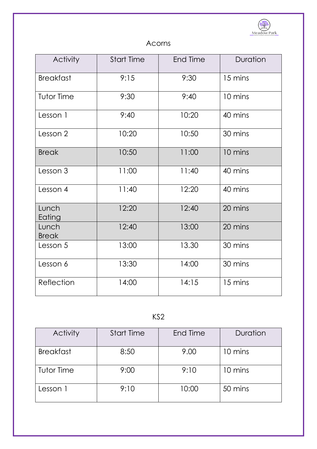

## Acorns

| <b>Activity</b>       | <b>Start Time</b> | <b>End Time</b> | Duration |
|-----------------------|-------------------|-----------------|----------|
| <b>Breakfast</b>      | 9:15              | 9:30            | 15 mins  |
| <b>Tutor Time</b>     | 9:30              | 9:40            | 10 mins  |
| Lesson 1              | 9:40              | 10:20           | 40 mins  |
| Lesson 2              | 10:20             | 10:50           | 30 mins  |
| <b>Break</b>          | 10:50             | 11:00           | 10 mins  |
| Lesson 3              | 11:00             | 11:40           | 40 mins  |
| Lesson 4              | 11:40             | 12:20           | 40 mins  |
| Lunch<br>Eating       | 12:20             | 12:40           | 20 mins  |
| Lunch<br><b>Break</b> | 12:40             | 13:00           | 20 mins  |
| Lesson 5              | 13:00             | 13.30           | 30 mins  |
| Lesson 6              | 13:30             | 14:00           | 30 mins  |
| Reflection            | 14:00             | 14:15           | 15 mins  |

## KS2

| <b>Activity</b>   | <b>Start Time</b> | End Time | Duration |
|-------------------|-------------------|----------|----------|
| <b>Breakfast</b>  | 8:50              | 9.00     | 10 mins  |
| <b>Tutor Time</b> | 9:00              | 9:10     | 10 mins  |
| Lesson 1          | 9:10              | 10:00    | 50 mins  |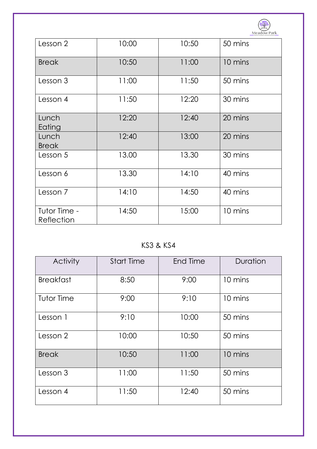

| Lesson 2                   | 10:00 | 10:50 | 50 mins |
|----------------------------|-------|-------|---------|
| <b>Break</b>               | 10:50 | 11:00 | 10 mins |
| Lesson 3                   | 11:00 | 11:50 | 50 mins |
| Lesson 4                   | 11:50 | 12:20 | 30 mins |
| Lunch<br>Eating            | 12:20 | 12:40 | 20 mins |
| Lunch<br><b>Break</b>      | 12:40 | 13:00 | 20 mins |
| Lesson 5                   | 13.00 | 13.30 | 30 mins |
| Lesson 6                   | 13.30 | 14:10 | 40 mins |
| Lesson 7                   | 14:10 | 14:50 | 40 mins |
| Tutor Time -<br>Reflection | 14:50 | 15:00 | 10 mins |

KS3 & KS4

| <b>Activity</b>   | <b>Start Time</b> | End Time | Duration |
|-------------------|-------------------|----------|----------|
| <b>Breakfast</b>  | 8:50              | 9:00     | 10 mins  |
| <b>Tutor Time</b> | 9:00              | 9:10     | 10 mins  |
| Lesson 1          | 9:10              | 10:00    | 50 mins  |
| Lesson 2          | 10:00             | 10:50    | 50 mins  |
| <b>Break</b>      | 10:50             | 11:00    | 10 mins  |
| Lesson 3          | 11:00             | 11:50    | 50 mins  |
| Lesson 4          | 11:50             | 12:40    | 50 mins  |